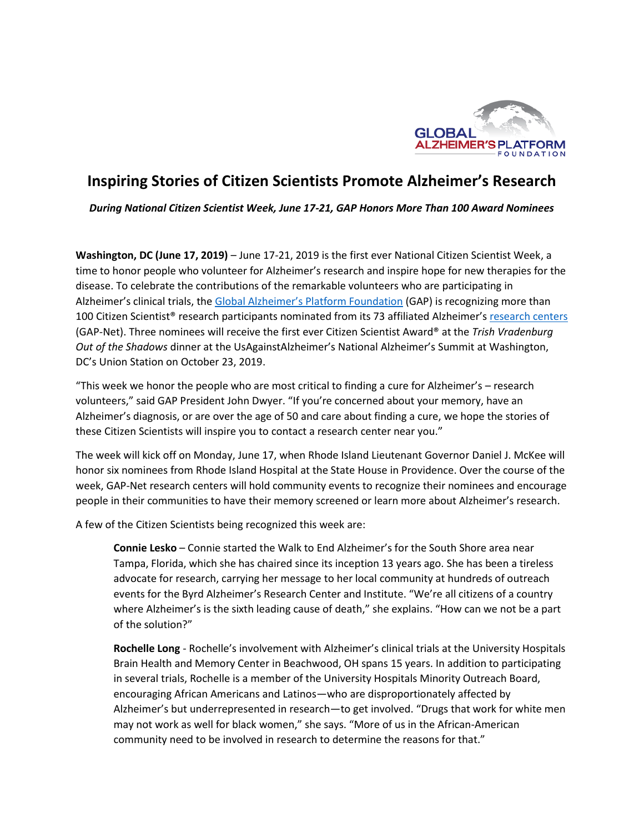

## **Inspiring Stories of Citizen Scientists Promote Alzheimer's Research**

*During National Citizen Scientist Week, June 17-21, GAP Honors More Than 100 Award Nominees* 

**Washington, DC (June 17, 2019)** – June 17-21, 2019 is the first ever National Citizen Scientist Week, a time to honor people who volunteer for Alzheimer's research and inspire hope for new therapies for the disease. To celebrate the contributions of the remarkable volunteers who are participating in Alzheimer's clinical trials, the [Global Alzheimer's Platform Foundation](http://www.globalalzplatform.org/) (GAP) is recognizing more than 100 Citizen Scientist<sup>®</sup> research participants nominated from its 73 affiliated Alzheimer's [research centers](https://globalalzplatform.org/trial-map/) (GAP-Net). Three nominees will receive the first ever Citizen Scientist Award® at the *Trish Vradenburg Out of the Shadows* dinner at the UsAgainstAlzheimer's National Alzheimer's Summit at Washington, DC's Union Station on October 23, 2019.

"This week we honor the people who are most critical to finding a cure for Alzheimer's – research volunteers," said GAP President John Dwyer. "If you're concerned about your memory, have an Alzheimer's diagnosis, or are over the age of 50 and care about finding a cure, we hope the stories of these Citizen Scientists will inspire you to contact a research center near you."

The week will kick off on Monday, June 17, when Rhode Island Lieutenant Governor Daniel J. McKee will honor six nominees from Rhode Island Hospital at the State House in Providence. Over the course of the week, GAP-Net research centers will hold community events to recognize their nominees and encourage people in their communities to have their memory screened or learn more about Alzheimer's research.

A few of the Citizen Scientists being recognized this week are:

**Connie Lesko** – Connie started the Walk to End Alzheimer's for the South Shore area near Tampa, Florida, which she has chaired since its inception 13 years ago. She has been a tireless advocate for research, carrying her message to her local community at hundreds of outreach events for the Byrd Alzheimer's Research Center and Institute. "We're all citizens of a country where Alzheimer's is the sixth leading cause of death," she explains. "How can we not be a part of the solution?"

**Rochelle Long** - Rochelle's involvement with Alzheimer's clinical trials at the University Hospitals Brain Health and Memory Center in Beachwood, OH spans 15 years. In addition to participating in several trials, Rochelle is a member of the University Hospitals Minority Outreach Board, encouraging African Americans and Latinos—who are disproportionately affected by Alzheimer's but underrepresented in research—to get involved. "Drugs that work for white men may not work as well for black women," she says. "More of us in the African-American community need to be involved in research to determine the reasons for that."